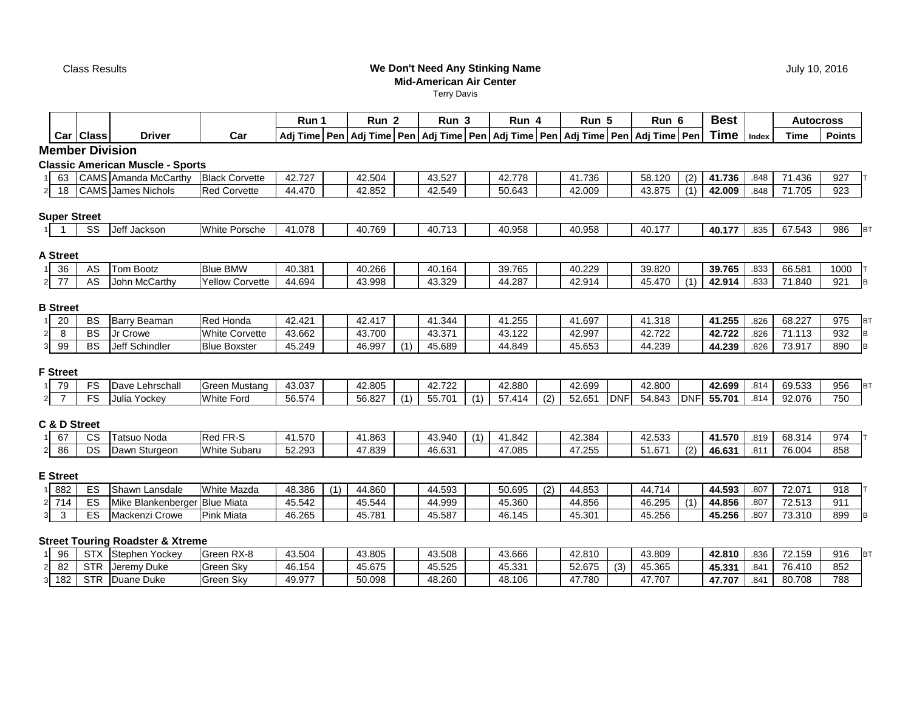Class Results

### **We Don't Need Any Stinking NameMid-American Air Center**

Terry Davis

|                                  |                        |                                             |                        | Run 1  |     | Run <sub>2</sub>                |     | Run 3  |     | Run 4  |     | Run 5                                                             |            | Run 6  |            | <b>Best</b> |       | <b>Autocross</b> |                  |
|----------------------------------|------------------------|---------------------------------------------|------------------------|--------|-----|---------------------------------|-----|--------|-----|--------|-----|-------------------------------------------------------------------|------------|--------|------------|-------------|-------|------------------|------------------|
|                                  | Car Class              | <b>Driver</b>                               | Car                    |        |     | Adj Time   Pen   Adj Time   Pen |     |        |     |        |     | Adj Time   Pen   Adj Time   Pen   Adj Time   Pen   Adj Time   Pen |            |        |            | <b>Time</b> | Index | <b>Time</b>      | <b>Points</b>    |
|                                  | <b>Member Division</b> |                                             |                        |        |     |                                 |     |        |     |        |     |                                                                   |            |        |            |             |       |                  |                  |
|                                  |                        | <b>Classic American Muscle - Sports</b>     |                        |        |     |                                 |     |        |     |        |     |                                                                   |            |        |            |             |       |                  |                  |
| 63                               |                        | CAMS Amanda McCarthy                        | <b>Black Corvette</b>  | 42.727 |     | 42.504                          |     | 43.527 |     | 42.778 |     | 41.736                                                            |            | 58.120 | (2)        | 41.736      | .848  | 71.436           | 927              |
| 18<br>2 <sub>1</sub>             |                        | CAMS James Nichols                          | <b>Red Corvette</b>    | 44.470 |     | 42.852                          |     | 42.549 |     | 50.643 |     | 42.009                                                            |            | 43.875 | (1)        | 42.009      | .848  | 71.705           | 923              |
|                                  |                        |                                             |                        |        |     |                                 |     |        |     |        |     |                                                                   |            |        |            |             |       |                  |                  |
|                                  | <b>Super Street</b>    |                                             |                        |        |     |                                 |     |        |     |        |     |                                                                   |            |        |            |             |       |                  |                  |
|                                  | SS                     | Jeff Jackson                                | White Porsche          | 41.078 |     | 40.769                          |     | 40.713 |     | 40.958 |     | 40.958                                                            |            | 40.177 |            | 40.177      | .835  | 67.543           | 986<br><b>BT</b> |
|                                  |                        |                                             |                        |        |     |                                 |     |        |     |        |     |                                                                   |            |        |            |             |       |                  |                  |
| <b>A Street</b>                  |                        |                                             |                        |        |     |                                 |     |        |     |        |     |                                                                   |            |        |            |             |       |                  |                  |
| 36                               | AS                     | Tom Bootz                                   | <b>Blue BMW</b>        | 40.381 |     | 40.266                          |     | 40.164 |     | 39.765 |     | 40.229                                                            |            | 39.820 |            | 39.765      | .833  | 66.581           | 1000             |
| 77<br>$\overline{2}$             | AS                     | John McCarthy                               | <b>Yellow Corvette</b> | 44.694 |     | 43.998                          |     | 43.329 |     | 44.287 |     | 42.914                                                            |            | 45.470 | (1)        | 42.914      | .833  | 71.840           | 921<br><b>B</b>  |
|                                  |                        |                                             |                        |        |     |                                 |     |        |     |        |     |                                                                   |            |        |            |             |       |                  |                  |
| <b>B</b> Street                  |                        |                                             |                        |        |     |                                 |     |        |     |        |     |                                                                   |            |        |            |             |       |                  |                  |
| 20<br>1                          | <b>BS</b>              | <b>Barry Beaman</b>                         | Red Honda              | 42.421 |     | 42.417                          |     | 41.344 |     | 41.255 |     | 41.697                                                            |            | 41.318 |            | 41.255      | .826  | 68.227           | 975<br><b>BT</b> |
| 8<br>$2\vert$                    | <b>BS</b>              | Jr Crowe                                    | White Corvette         | 43.662 |     | 43.700                          |     | 43.371 |     | 43.122 |     | 42.997                                                            |            | 42.722 |            | 42.722      | .826  | 71.113           | 932<br>B         |
| 99<br>$\overline{3}$             | <b>BS</b>              | Jeff Schindler                              | <b>Blue Boxster</b>    | 45.249 |     | 46.997                          | (1) | 45.689 |     | 44.849 |     | 45.653                                                            |            | 44.239 |            | 44.239      | .826  | 73.917           | B<br>890         |
|                                  |                        |                                             |                        |        |     |                                 |     |        |     |        |     |                                                                   |            |        |            |             |       |                  |                  |
| <b>F</b> Street                  |                        |                                             |                        |        |     |                                 |     |        |     |        |     |                                                                   |            |        |            |             |       |                  |                  |
| 79                               | FS                     | Dave Lehrschall                             | <b>Green Mustang</b>   | 43.037 |     | 42.805                          |     | 42.722 |     | 42.880 |     | 42.699                                                            |            | 42.800 |            | 42.699      | .814  | 69.533           | 956<br><b>BT</b> |
| $\overline{7}$<br>$\overline{2}$ | FS                     | Julia Yockey                                | <b>White Ford</b>      | 56.574 |     | 56.827                          | (1) | 55.701 | (1) | 57.414 | (2) | 52.651                                                            | <b>DNF</b> | 54.843 | <b>DNF</b> | 55.701      | .814  | 92.076           | 750              |
|                                  |                        |                                             |                        |        |     |                                 |     |        |     |        |     |                                                                   |            |        |            |             |       |                  |                  |
| C & D Street                     |                        |                                             |                        |        |     |                                 |     |        |     |        |     |                                                                   |            |        |            |             |       |                  |                  |
| 67<br>11                         | <b>CS</b>              | <b>Tatsuo Noda</b>                          | Red FR-S               | 41.570 |     | 41.863                          |     | 43.940 | (1) | 41.842 |     | 42.384                                                            |            | 42.533 |            | 41.570      | .819  | 68.314           | 974              |
| 86<br>$\mathbf{2}$               | DS                     | Dawn Sturgeon                               | <b>White Subaru</b>    | 52.293 |     | 47.839                          |     | 46.631 |     | 47.085 |     | 47.255                                                            |            | 51.671 | (2)        | 46.631      | .811  | 76.004           | 858              |
|                                  |                        |                                             |                        |        |     |                                 |     |        |     |        |     |                                                                   |            |        |            |             |       |                  |                  |
| <b>E</b> Street                  |                        |                                             |                        |        |     |                                 |     |        |     |        |     |                                                                   |            |        |            |             |       |                  |                  |
| 882<br>1 <sup>1</sup>            | ES                     | Shawn Lansdale                              | <b>White Mazda</b>     | 48.386 | (1) | 44.860                          |     | 44.593 |     | 50.695 | (2) | 44.853                                                            |            | 44.714 |            | 44.593      | .807  | 72.071           | 918              |
| 714<br>$\mathbf{2}$              | ES                     | Mike Blankenberger Blue Miata               |                        | 45.542 |     | 45.544                          |     | 44.999 |     | 45.360 |     | 44.856                                                            |            | 46.295 | (1)        | 44.856      | .807  | 72.513           | 911              |
| $\mathbf{3}$<br>$\overline{3}$   | ES                     | Mackenzi Crowe                              | <b>Pink Miata</b>      | 46.265 |     | 45.781                          |     | 45.587 |     | 46.145 |     | 45.301                                                            |            | 45.256 |            | 45.256      | .807  | 73.310           | 899<br>B         |
|                                  |                        |                                             |                        |        |     |                                 |     |        |     |        |     |                                                                   |            |        |            |             |       |                  |                  |
|                                  |                        | <b>Street Touring Roadster &amp; Xtreme</b> |                        |        |     |                                 |     |        |     |        |     |                                                                   |            |        |            |             |       |                  |                  |
| 96                               | <b>STX</b>             | Stephen Yockey                              | Green RX-8             | 43.504 |     | 43.805                          |     | 43.508 |     | 43.666 |     | 42.810                                                            |            | 43.809 |            | 42.810      | .836  | 72.159           | 916<br><b>BT</b> |
| 82<br>$\mathbf{2}$               | <b>STR</b>             | Jeremy Duke                                 | Green Sky              | 46.154 |     | 45.675                          |     | 45.525 |     | 45.331 |     | 52.675                                                            | (3)        | 45.365 |            | 45.331      | .841  | 76.410           | 852              |
| 182<br>3 <sup>1</sup>            | <b>STR</b>             | Duane Duke                                  | <b>Green Sky</b>       | 49.977 |     | 50.098                          |     | 48.260 |     | 48.106 |     | 47.780                                                            |            | 47.707 |            | 47.707      | .841  | 80.708           | 788              |

July 10, 2016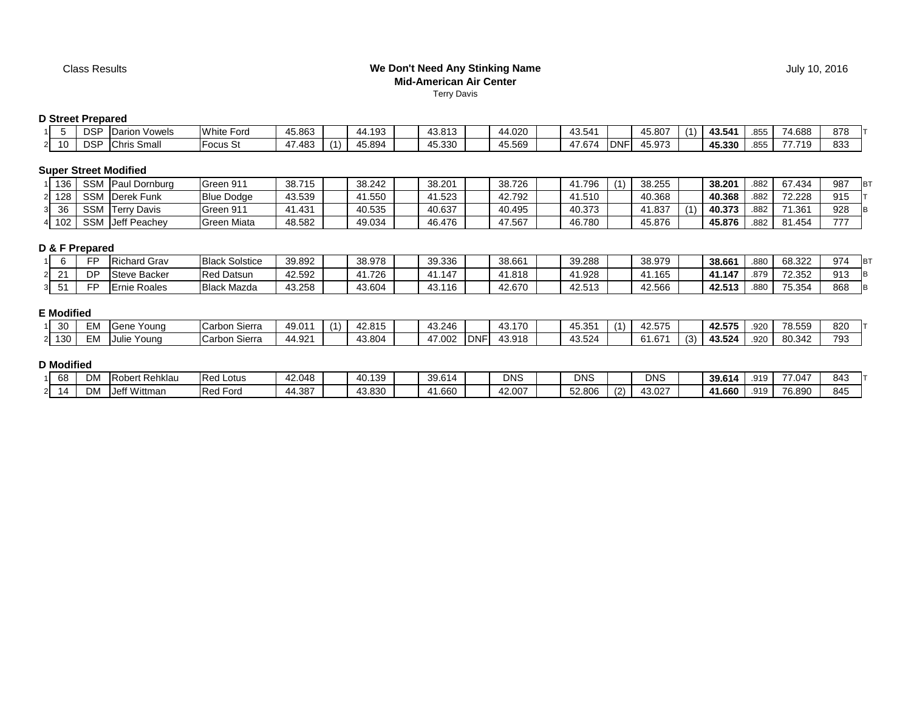#### **We Don't Need Any Stinking NameMid-American Air Center**Terry Davis

# **D Street Prepared**

| . .                 | $R^{\sim}$<br>ت د<br>י ש             | Vowels<br>Darior | White,<br>Ford   | 45.863 | 1.193  | 43.813               | 44.020 | AOFAA<br>43.541   |            | 45.807 | 3.54'  | $- - -$<br>855  | 4.688 | 878 |
|---------------------|--------------------------------------|------------------|------------------|--------|--------|----------------------|--------|-------------------|------------|--------|--------|-----------------|-------|-----|
| $\overline{A}$<br>. | $\sim$ $\sim$ $\sim$<br>ں ۱۷۰<br>` ب | Chris .<br>Small | <b>IFocus</b> St | 17.483 | 15.894 | 45.330<br>$\sqrt{2}$ | 45.569 | $1 - 0$<br>. .674 | <b>DNF</b> | 45.973 | 45.330 | $- - -$<br>.ძ55 | 710   | 833 |

## **Super Street Modified**

| 136 | <b>SSM</b> | Paul Dornburg         | Green 911          | 38.715 | 38.242 | 38.201 | 38.726 | .796   | $\mathbf{A}$ | 38.255       | 38.201 | .882 | 67.434 | 987 |  |
|-----|------------|-----------------------|--------------------|--------|--------|--------|--------|--------|--------------|--------------|--------|------|--------|-----|--|
| 128 | <b>SSM</b> | Derek Funk            | <b>Blue Dodge</b>  | 43.539 | 41.550 | 41.523 | 42.792 | 1.510  |              | 40.368       | 40.368 | .882 | 72.228 | 915 |  |
| 36  | <b>SSM</b> | Davis<br><b>Terry</b> | Green 911          | 1.431  | 40.535 | 40.637 | 40.495 | 40.373 |              | .1.837<br>41 | 40.373 | .882 | 71.361 | 928 |  |
| 102 | <b>SSM</b> | Jeff Peachev          | <b>Green Miata</b> | 48.582 | 49.034 | 46.476 | 47.567 | 46.780 |              | 45.876       | 45.876 | .882 | 81.454 | 777 |  |

# **D & F Prepared**

|               | --                 | Richard Grav             | <b>Black Solstice</b> | 39.892              | 38.978 | 39.336 | 38.661 | 39.288 | 38.979 | 38.661                | .88 <sub>C</sub>     | 68.322 | 974 |  |
|---------------|--------------------|--------------------------|-----------------------|---------------------|--------|--------|--------|--------|--------|-----------------------|----------------------|--------|-----|--|
| ິ<br><u>_</u> | $\sim$ $\sim$<br>ັ | e Backer<br><b>Steve</b> | <b>Red Datsun</b>     | 42.592              | 1.726  | 147    | 1.818  | 1.928  | .165   | 147<br>$\overline{A}$ | $\sim$ $\rightarrow$ | 72.352 | 913 |  |
| ັ             | --                 | Roales<br>Ernie          | <b>Black Mazda</b>    | 43.258<br><b>43</b> | 43.604 | 43.116 | 42.670 | 42.513 | 42.566 | 42.513                | .880                 | 75.354 | 868 |  |

## **E Modified**

| $\Omega$<br>30 | --<br>: IVI | Young<br>∋ene  | $\sim$<br>Carbon '<br>Sierra | 49.011 | ,, | 42.81F | 43.246              |                                        | $\overline{\phantom{a}}$<br>170<br><i>.</i><br>⊤י. | rv.vv         | $\sim$ $-$<br>42.57 |               | 42.575 | 920  | <b>70 EEO</b><br>6.559 | 820 |
|----------------|-------------|----------------|------------------------------|--------|----|--------|---------------------|----------------------------------------|----------------------------------------------------|---------------|---------------------|---------------|--------|------|------------------------|-----|
| 130            | --<br>. IVI | Young<br>Julie | $\sim$<br>Carbon -<br>Sierra | 44.921 |    | 43.804 | $\sim$<br>4<br>,,,, | $\overline{\phantom{a}}$<br><b>DNF</b> | 43.918                                             | 524<br>י∠ט.טז | 61.67'              | $\sim$<br>ا ت | 3.524  | .920 | 80.342                 | 793 |

## **D Modified**

| 68              | --<br>ΜVΙ      | <b>Robert Rehklau</b>           | <b>Red Lotus</b>      | 42.048 | 40.139 | 39.614 | <b>DNS</b> | DNS    |               | <b>DNS</b>       | 39.614 | Q1Q<br>. | -04، / | 843 |
|-----------------|----------------|---------------------------------|-----------------------|--------|--------|--------|------------|--------|---------------|------------------|--------|----------|--------|-----|
| . .<br><u>.</u> | $\sim$<br>ועוש | $I \cap H$ Min<br>/ittman<br>סנ | ' Ford<br><b>IRed</b> | 44.387 | 43.830 | 1.660  | 42.007     | 52.806 | $\sim$<br>(2) | 13 U.J.<br>73.UZ | 1.660  | Q1Q<br>ິ | 76.890 | 845 |